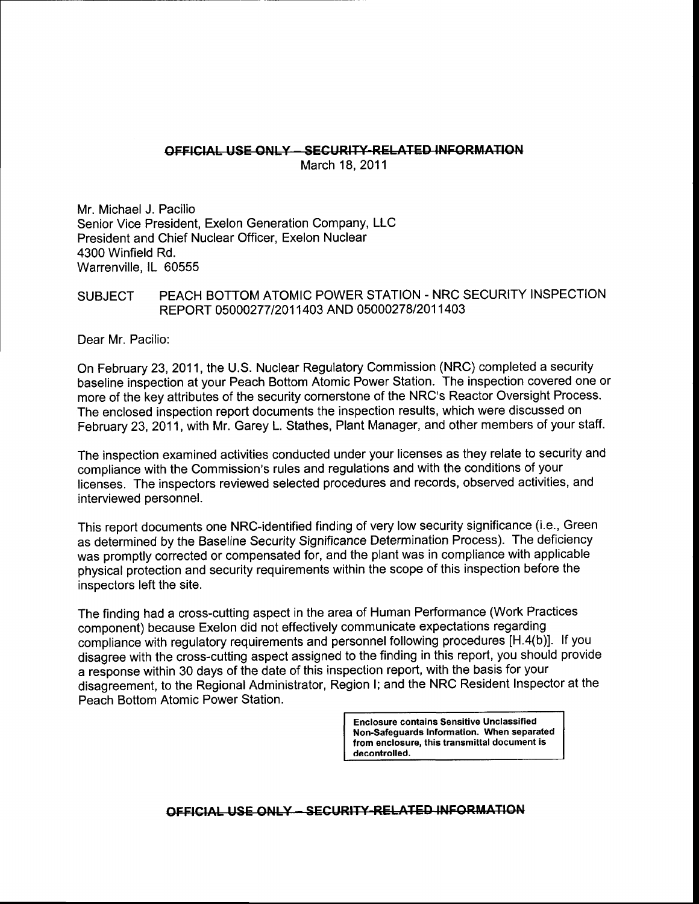## OFFICIAL USE ONLY - SECURITY-RELATED INFORMATION March 18,2011

Mr. Michael J. Pacilio Senior Vice President, Exelon Generation Company, LLC President and Chief Nuclear Officer, Exelon Nuclear 4300 Winfield Rd. Warrenville, lL 60555

### SUBJECT PEACH BOTTOM ATOMIC POWER STATION - NRC SECURITY INSPECTION REPORT 05000277/2011403 AND 05000278/2011403

Dear Mr. Pacilio:

On February 23,2011, the U.S. Nuclear Regulatory Commission (NRC) completed a security baseline inspection at your Peach Bottom Atomic Power Station. The inspection covered one or more of the key attributes of the security cornerstone of the NRC's Reactor Oversight Process. The enclosed inspection report documents the inspection results, which were discussed on February 23,2011, with Mr. Garey L. Stathes, Plant Manager, and other members of your staff.

The inspection examined activities conducted under your licenses as they relate to security and compliance with the Commission's rules and regulations and with the conditions of your licenses. The inspectors reviewed selected procedures and records, observed activities, and interviewed personnel.

This report documents one NRC-identified finding of very low security significance (i.e., Green as determined by the Baseline Security Significance Determination Process). The deficiency was promptly corrected or compensated for, and the plant was in compliance with applicable physical protection and security requirements within the scope of this inspection before the inspectors left the site.

The finding had a cross-cutting aspect in the area of Human Performance (Work Practices component) because Exelon did not effectively communicate expectations regarding compliance with regulatory requirements and personnel following procedures [H.4(b)]. lf you disagree with the cross-cutting aspect assigned to the finding in this report, you should provide a response within 30 days of the date of this inspection report, with the basis for your disagreement, to the Regional Administrator, Region I; and the NRC Resident Inspector at the Peach Bottom Atomic Power Station.

> Enclosure contains Sensitive Unclassified Non-Safeguards Information. When separated from enclosure, this transmittal document is decontrolled-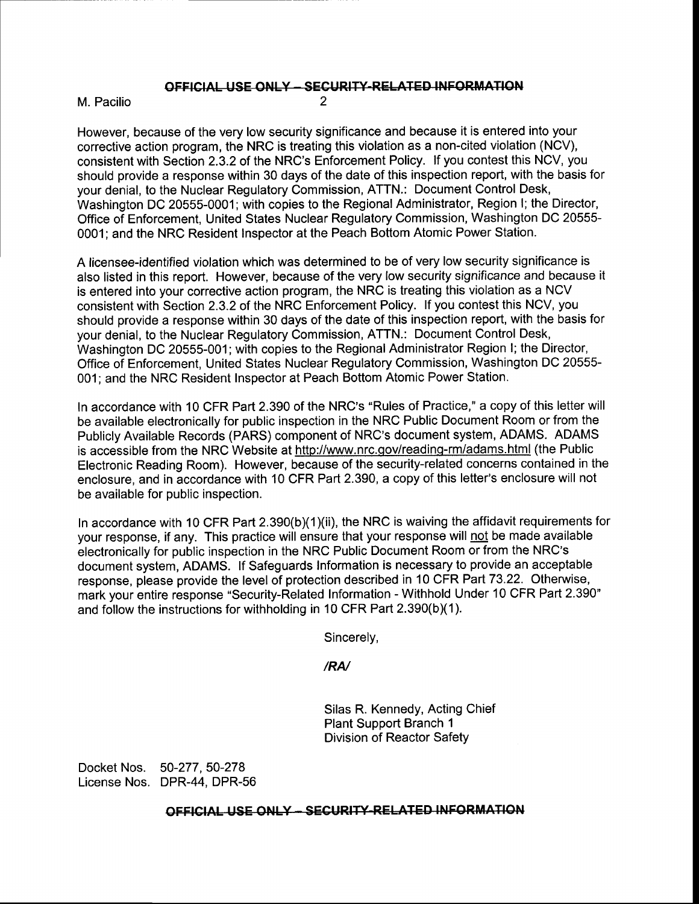# OFFICIAL USE ONLY - SECURITY-RELATED INFORMATION<br>2

M. Pacilio

However, because of the very low security significance and because it is entered into your corrective action program, the NRC is treating this violation as a non-cited violation (NCV), consistent with Section 2.3.2 of the NRC's Enforcement Policy. lf you contest this NCV, you should provide a response within 30 days of the date of this inspection report, with the basis for your denial, to the Nuclear Regulatory Commission, ATTN.: Document Control Desk, Washington DC 20555-0001; with copies to the Regional Administrator, Region l; the Director, Office of Enforcement, United States Nuclear Regulatory Commission, Washington DC 20555- 0001; and the NRC Resident lnspector at the Peach Bottom Atomic Power Station.

A licensee-identified violation which was determined to be of very low security significance is also listed in this report. However, because of the very low security significance and because it is entered into your corrective action program, the NRC is treating this violation as a NCV consistent with Section 2.3.2 of the NRC Enforcement Policy. lf you contest this NCV, you should provide a response within 30 days of the date of this inspection report, with the basis for your denial, to the Nuclear Regulatory Commission, ATTN.: Document Control Desk, Washington DC 20555-001; with copies to the Regional Administrator Region l; the Director, Office of Enforcement, United States Nuclear Regulatory Commission, Washington DC 20555- 001; and the NRC Resident Inspector at Peach Bottom Atomic Power Station.

ln accordance with 10 CFR Part 2.390 of the NRC's "Rules of Practice," a copy of this letter will be available electronically for public inspection in the NRC Public Document Room or from the Publicly Available Records (PARS) component of NRC's document system, ADAMS. ADAMS is accessible from the NRC Website at http://www.nrc.gov/reading-rm/adams.html (the Public Electronic Reading Room). However, because of the security-related concerns contained in the enclosure, and in accordance with 10 CFR Part 2.390, a copy of this letter's enclosure will not be available for public inspection.

In accordance with 10 CFR Part  $2.390(b)(1)(ii)$ , the NRC is waiving the affidavit requirements for your response, if any. This practice will ensure that your response will not be made available electronically for public inspection in the NRC Public Document Room or from the NRC's document system, ADAMS. lf Safeguards Information is necessary to provide an acceptable response, please provide the level of protection described in 10 CFR Part 73.22. Otherwise, mark your entire response "Security-Related Information - Withhold Under 10 CFR Part 2.390" and follow the instructions for withholding in 10 CFR Part 2.390(b)(1).

Sincerely,

### /RN

Silas R. Kennedy, Acting Chief Plant Support Branch <sup>1</sup> Division of Reactor Safety

Docket Nos. 50-277, 50-278 License Nos. DPR-44. DPR-56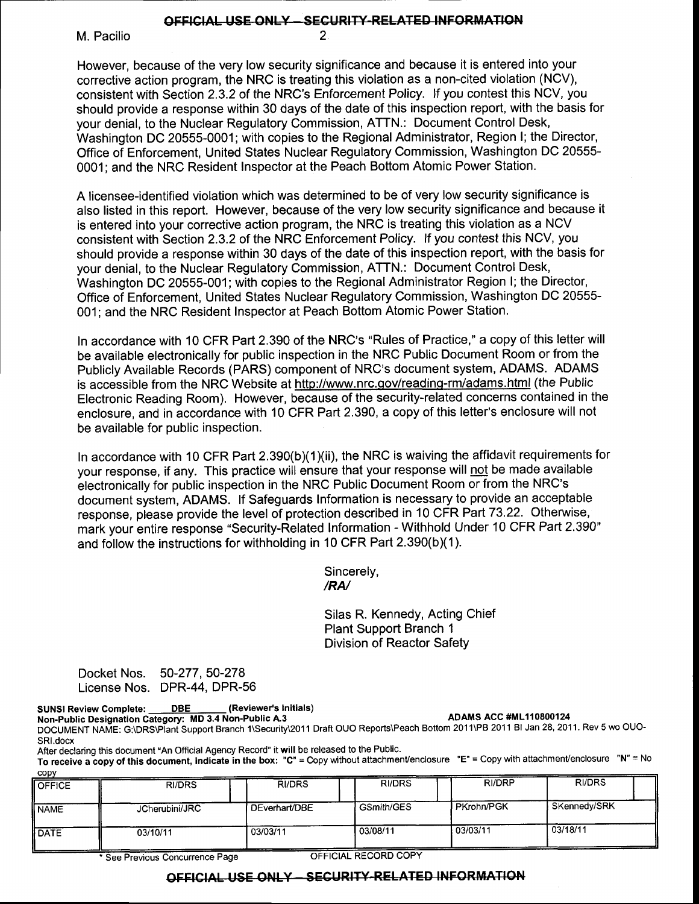#### OFFICIAL USE ONLY - SECURITY-RELATED INFORMATION

2

M. Pacilio

However, because of the very low security significance and because it is entered into your corrective action program, the NRC is treating this violation as a non-cited violation (NCV), consistent with Section 2.3.2 of the NRC's Enforcement Policy. lf you contest this NCV, you should provide a response within 30 days of the date of this inspection report, with the basis for your denial, to the Nuclear Regulatory Commission, ATTN.: Document Control Desk, Washington DC 20555-0001; with copies to the Regional Administrator, Region l; the Director, Office of Enforcement, United States Nuclear Regulatory Commission, Washington DC 20555- 0001; and the NRC Resident Inspector at the Peach Bottom Atomic Power Station.

A licensee-identified violation which was determined to be of very low security significance is also listed in this report. However, because of the very low security significance and because it is entered into your corrective action program, the NRC is treating this violation as a NCV consistent with Section 2.3.2 of the NRC Enforcement Policy. lf you contest this NCV, you should provide a response within 30 days of the date of this inspection report, with the basis for your denial, to the Nuclear Regulatory Commission, ATTN.: Document Control Desk, Washington DC 20555-001; with copies to the Regional Administrator Region l; the Director, Office of Enforcement, United States Nuclear Regulatory Commission, Washington DC 20555- 001; and the NRC Resident Inspector at Peach Bottom Atomic Power Station.

In accordance with 10 CFR Part 2.390 of the NRC's "Rules of Practice," a copy of this letter will be available electronically for public inspection in the NRC Public Document Room or from the Publicly Available Records (PARS) component of NRC's document system, ADAMS. ADAMS is accessible from the NRC Website at http://www.nrc.gov/reading-rm/adams.html (the Public Electronic Reading Room). However, because of the security-related concerns contained in the enclosure, and in accordance with 10 CFR Part 2.390, a copy of this letter's enclosure will not be available for public inspection.

In accordance with 10 CFR Part 2.390(b)(1)(ii), the NRC is waiving the affidavit requirements for your response, if any. This practice will ensure that your response will not be made available electronically for public inspection in the NRC Public Document Room or from the NRC's document system, ADAMS. lf Safeguards lnformation is necessary to provide an acceptable response, please provide the level of protection described in 10 CFR Part 73.22. Otherwise, mark your entire response "Security-Related Information - Withhold Under 10 CFR Part 2.390" and follow the instructions for withholding in 10 CFR Part 2.390(b)(1).

> SincerelY, /RN

Silas R. Kennedy, Acting Chief Plant Support Branch <sup>1</sup> Division of Reactor Safety

Docket Nos. 50-277, 50-278 License Nos. DPR-44, DPR-56

SUNSI Review Complete: \_\_\_\_ <u>DBE \_\_</u>\_\_\_ (Reviewer's Initials)

Non-Public Designation Category: MD 3.4 Non-Public A.3 ADAMS ACC #ML110800124

DOCUMENT NAME: G:\DRS\Plant Support Branch 1\Security\2011 Draft OUO Reports\Peach Bottom 2011\PB 2011 Bl Jan 28, 2011. Rev 5 wo OUO-SRl.docx

After declaring this document'An Official Agency Record' it will be released to the Public. To receive a copy of this document, indicate in the box: "C" = Copy without attachment/enclosure "E" = Copy with attachment/enclosure "N" = No

| wpy           |                |               |               |              |              |  |
|---------------|----------------|---------------|---------------|--------------|--------------|--|
| <b>OFFICE</b> | RI/DRS         | RI/DRS        | <b>RI/DRS</b> | RI/DRP       | RI/DRS       |  |
| <b>NAME</b>   | JCherubini/JRC | DEverhart/DBE | GSmith/GES    | l PKrohn/PGK | SKennedy/SRK |  |
| DATE          | 03/10/11       | 03/03/11      | 03/08/11      | 03/03/11     | 03/18/11     |  |

\* See Previous Concurrence Page

OFFICIAL RECORD COPY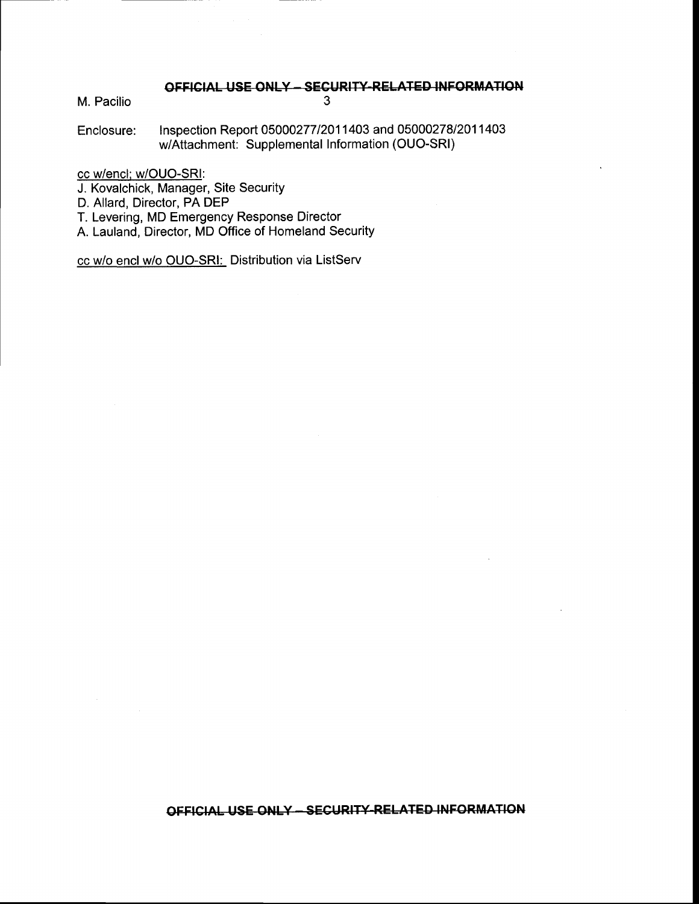# OFFICIAL USE ONLY - SECURITY-RELATED INFORMATION

M. Pacilio

Enclosure: lnspection Report 0500027712011403 and 0500027812011403 w/Attachment: Supplemental Information (OUO-SRl)

cc w/encl: w/OUO-SR|:

J. Kovalchick, Manager, Site Security

D. Allard, Director, PA DEP

T. Levering, MD Emergency Response Director

A. Lauland, Director, MD Office of Homeland Security

cc w/o encl w/o QUO-SRI: Distribution via ListServ